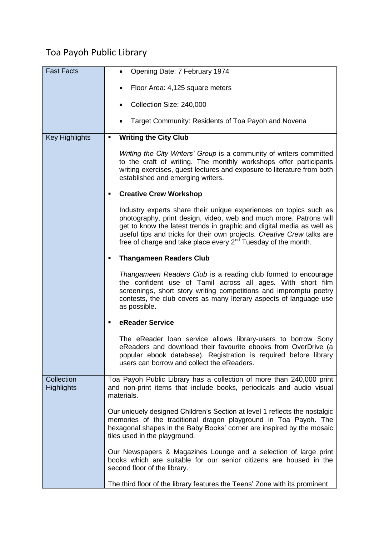## Toa Payoh Public Library

| <b>Fast Facts</b>     | Opening Date: 7 February 1974                                                                                                                                                                                                                                                                                                                                   |
|-----------------------|-----------------------------------------------------------------------------------------------------------------------------------------------------------------------------------------------------------------------------------------------------------------------------------------------------------------------------------------------------------------|
|                       | Floor Area: 4,125 square meters                                                                                                                                                                                                                                                                                                                                 |
|                       |                                                                                                                                                                                                                                                                                                                                                                 |
|                       | Collection Size: 240,000                                                                                                                                                                                                                                                                                                                                        |
|                       | Target Community: Residents of Toa Payoh and Novena                                                                                                                                                                                                                                                                                                             |
| <b>Key Highlights</b> | <b>Writing the City Club</b>                                                                                                                                                                                                                                                                                                                                    |
|                       | Writing the City Writers' Group is a community of writers committed<br>to the craft of writing. The monthly workshops offer participants<br>writing exercises, guest lectures and exposure to literature from both<br>established and emerging writers.                                                                                                         |
|                       | <b>Creative Crew Workshop</b>                                                                                                                                                                                                                                                                                                                                   |
|                       | Industry experts share their unique experiences on topics such as<br>photography, print design, video, web and much more. Patrons will<br>get to know the latest trends in graphic and digital media as well as<br>useful tips and tricks for their own projects. Creative Crew talks are<br>free of charge and take place every $2^{nd}$ Tuesday of the month. |
|                       | <b>Thangameen Readers Club</b><br>٠                                                                                                                                                                                                                                                                                                                             |
|                       | Thangameen Readers Club is a reading club formed to encourage<br>the confident use of Tamil across all ages. With short film<br>screenings, short story writing competitions and impromptu poetry<br>contests, the club covers as many literary aspects of language use<br>as possible.                                                                         |
|                       | eReader Service                                                                                                                                                                                                                                                                                                                                                 |
|                       | The eReader loan service allows library-users to borrow Sony<br>eReaders and download their favourite ebooks from OverDrive (a<br>popular ebook database). Registration is required before library<br>users can borrow and collect the eReaders.                                                                                                                |
| Collection            | Toa Payoh Public Library has a collection of more than 240,000 print                                                                                                                                                                                                                                                                                            |
| <b>Highlights</b>     | and non-print items that include books, periodicals and audio visual<br>materials.                                                                                                                                                                                                                                                                              |
|                       | Our uniquely designed Children's Section at level 1 reflects the nostalgic<br>memories of the traditional dragon playground in Toa Payoh. The<br>hexagonal shapes in the Baby Books' corner are inspired by the mosaic<br>tiles used in the playground.                                                                                                         |
|                       | Our Newspapers & Magazines Lounge and a selection of large print<br>books which are suitable for our senior citizens are housed in the<br>second floor of the library.                                                                                                                                                                                          |
|                       | The third floor of the library features the Teens' Zone with its prominent                                                                                                                                                                                                                                                                                      |